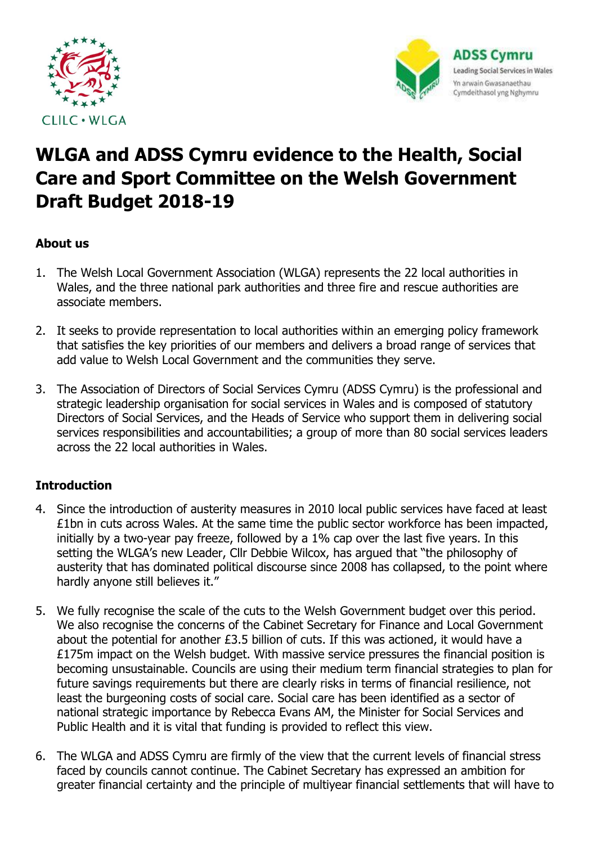



# **WLGA and ADSS Cymru evidence to the Health, Social Care and Sport Committee on the Welsh Government Draft Budget 2018-19**

## **About us**

- 1. The Welsh Local Government Association (WLGA) represents the 22 local authorities in Wales, and the three national park authorities and three fire and rescue authorities are associate members.
- 2. It seeks to provide representation to local authorities within an emerging policy framework that satisfies the key priorities of our members and delivers a broad range of services that add value to Welsh Local Government and the communities they serve.
- 3. The Association of Directors of Social Services Cymru (ADSS Cymru) is the professional and strategic leadership organisation for social services in Wales and is composed of statutory Directors of Social Services, and the Heads of Service who support them in delivering social services responsibilities and accountabilities; a group of more than 80 social services leaders across the 22 local authorities in Wales.

## **Introduction**

- 4. Since the introduction of austerity measures in 2010 local public services have faced at least £1bn in cuts across Wales. At the same time the public sector workforce has been impacted, initially by a two-year pay freeze, followed by a 1% cap over the last five years. In this setting the WLGA's new Leader, Cllr Debbie Wilcox, has argued that "the philosophy of austerity that has dominated political discourse since 2008 has collapsed, to the point where hardly anyone still believes it."
- 5. We fully recognise the scale of the cuts to the Welsh Government budget over this period. We also recognise the concerns of the Cabinet Secretary for Finance and Local Government about the potential for another £3.5 billion of cuts. If this was actioned, it would have a £175m impact on the Welsh budget. With massive service pressures the financial position is becoming unsustainable. Councils are using their medium term financial strategies to plan for future savings requirements but there are clearly risks in terms of financial resilience, not least the burgeoning costs of social care. Social care has been identified as a sector of national strategic importance by Rebecca Evans AM, the Minister for Social Services and Public Health and it is vital that funding is provided to reflect this view.
- 6. The WLGA and ADSS Cymru are firmly of the view that the current levels of financial stress faced by councils cannot continue. The Cabinet Secretary has expressed an ambition for greater financial certainty and the principle of multiyear financial settlements that will have to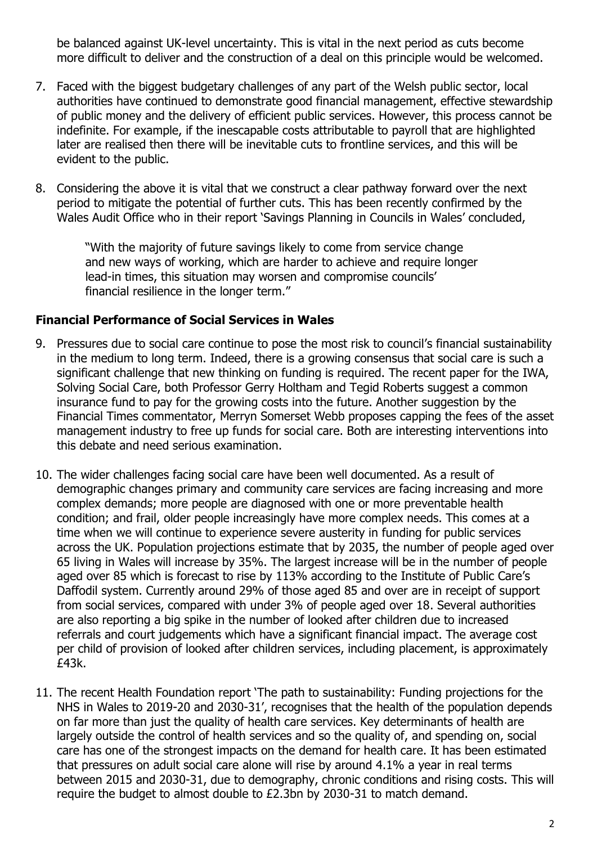be balanced against UK-level uncertainty. This is vital in the next period as cuts become more difficult to deliver and the construction of a deal on this principle would be welcomed.

- 7. Faced with the biggest budgetary challenges of any part of the Welsh public sector, local authorities have continued to demonstrate good financial management, effective stewardship of public money and the delivery of efficient public services. However, this process cannot be indefinite. For example, if the inescapable costs attributable to payroll that are highlighted later are realised then there will be inevitable cuts to frontline services, and this will be evident to the public.
- 8. Considering the above it is vital that we construct a clear pathway forward over the next period to mitigate the potential of further cuts. This has been recently confirmed by the Wales Audit Office who in their report 'Savings Planning in Councils in Wales' concluded,

"With the majority of future savings likely to come from service change and new ways of working, which are harder to achieve and require longer lead-in times, this situation may worsen and compromise councils' financial resilience in the longer term."

#### **Financial Performance of Social Services in Wales**

- 9. Pressures due to social care continue to pose the most risk to council's financial sustainability in the medium to long term. Indeed, there is a growing consensus that social care is such a significant challenge that new thinking on funding is required. The recent paper for the IWA, Solving Social Care, both Professor Gerry Holtham and Tegid Roberts suggest a common insurance fund to pay for the growing costs into the future. Another suggestion by the Financial Times commentator, Merryn Somerset Webb proposes capping the fees of the asset management industry to free up funds for social care. Both are interesting interventions into this debate and need serious examination.
- 10. The wider challenges facing social care have been well documented. As a result of demographic changes primary and community care services are facing increasing and more complex demands; more people are diagnosed with one or more preventable health condition; and frail, older people increasingly have more complex needs. This comes at a time when we will continue to experience severe austerity in funding for public services across the UK. Population projections estimate that by 2035, the number of people aged over 65 living in Wales will increase by 35%. The largest increase will be in the number of people aged over 85 which is forecast to rise by 113% according to the Institute of Public Care's Daffodil system. Currently around 29% of those aged 85 and over are in receipt of support from social services, compared with under 3% of people aged over 18. Several authorities are also reporting a big spike in the number of looked after children due to increased referrals and court judgements which have a significant financial impact. The average cost per child of provision of looked after children services, including placement, is approximately £43k.
- 11. The recent Health Foundation report 'The path to sustainability: Funding projections for the NHS in Wales to 2019-20 and 2030-31', recognises that the health of the population depends on far more than just the quality of health care services. Key determinants of health are largely outside the control of health services and so the quality of, and spending on, social care has one of the strongest impacts on the demand for health care. It has been estimated that pressures on adult social care alone will rise by around 4.1% a year in real terms between 2015 and 2030-31, due to demography, chronic conditions and rising costs. This will require the budget to almost double to £2.3bn by 2030-31 to match demand.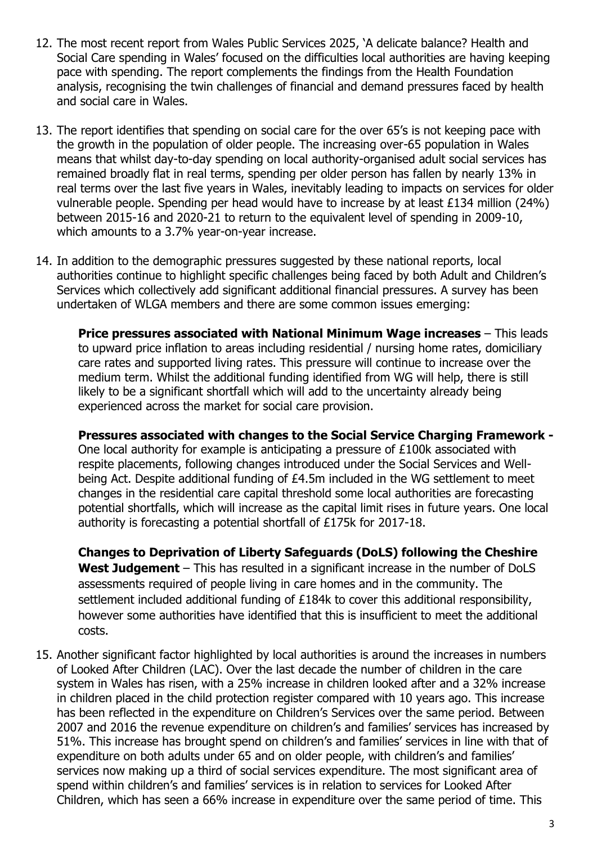- 12. The most recent report from Wales Public Services 2025, 'A delicate balance? Health and Social Care spending in Wales' focused on the difficulties local authorities are having keeping pace with spending. The report complements the findings from the Health Foundation analysis, recognising the twin challenges of financial and demand pressures faced by health and social care in Wales.
- 13. The report identifies that spending on social care for the over 65's is not keeping pace with the growth in the population of older people. The increasing over-65 population in Wales means that whilst day-to-day spending on local authority-organised adult social services has remained broadly flat in real terms, spending per older person has fallen by nearly 13% in real terms over the last five years in Wales, inevitably leading to impacts on services for older vulnerable people. Spending per head would have to increase by at least £134 million (24%) between 2015-16 and 2020-21 to return to the equivalent level of spending in 2009-10, which amounts to a 3.7% year-on-year increase.
- 14. In addition to the demographic pressures suggested by these national reports, local authorities continue to highlight specific challenges being faced by both Adult and Children's Services which collectively add significant additional financial pressures. A survey has been undertaken of WLGA members and there are some common issues emerging:

**Price pressures associated with National Minimum Wage increases** – This leads to upward price inflation to areas including residential / nursing home rates, domiciliary care rates and supported living rates. This pressure will continue to increase over the medium term. Whilst the additional funding identified from WG will help, there is still likely to be a significant shortfall which will add to the uncertainty already being experienced across the market for social care provision.

**Pressures associated with changes to the Social Service Charging Framework -** One local authority for example is anticipating a pressure of £100k associated with respite placements, following changes introduced under the Social Services and Wellbeing Act. Despite additional funding of £4.5m included in the WG settlement to meet changes in the residential care capital threshold some local authorities are forecasting potential shortfalls, which will increase as the capital limit rises in future years. One local authority is forecasting a potential shortfall of £175k for 2017-18.

**Changes to Deprivation of Liberty Safeguards (DoLS) following the Cheshire West Judgement** – This has resulted in a significant increase in the number of DoLS assessments required of people living in care homes and in the community. The settlement included additional funding of £184k to cover this additional responsibility, however some authorities have identified that this is insufficient to meet the additional costs.

15. Another significant factor highlighted by local authorities is around the increases in numbers of Looked After Children (LAC). Over the last decade the number of children in the care system in Wales has risen, with a 25% increase in children looked after and a 32% increase in children placed in the child protection register compared with 10 years ago. This increase has been reflected in the expenditure on Children's Services over the same period. Between 2007 and 2016 the revenue expenditure on children's and families' services has increased by 51%. This increase has brought spend on children's and families' services in line with that of expenditure on both adults under 65 and on older people, with children's and families' services now making up a third of social services expenditure. The most significant area of spend within children's and families' services is in relation to services for Looked After Children, which has seen a 66% increase in expenditure over the same period of time. This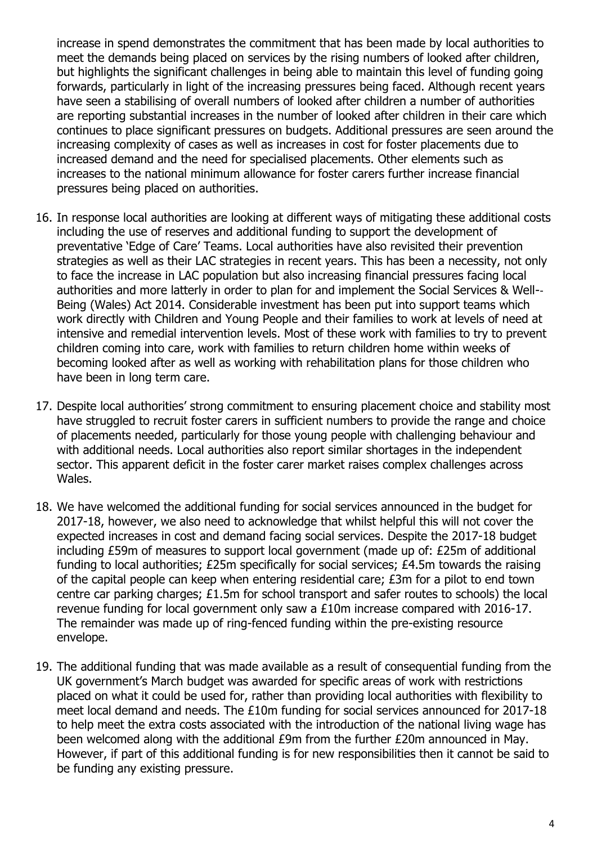increase in spend demonstrates the commitment that has been made by local authorities to meet the demands being placed on services by the rising numbers of looked after children, but highlights the significant challenges in being able to maintain this level of funding going forwards, particularly in light of the increasing pressures being faced. Although recent years have seen a stabilising of overall numbers of looked after children a number of authorities are reporting substantial increases in the number of looked after children in their care which continues to place significant pressures on budgets. Additional pressures are seen around the increasing complexity of cases as well as increases in cost for foster placements due to increased demand and the need for specialised placements. Other elements such as increases to the national minimum allowance for foster carers further increase financial pressures being placed on authorities.

- 16. In response local authorities are looking at different ways of mitigating these additional costs including the use of reserves and additional funding to support the development of preventative 'Edge of Care' Teams. Local authorities have also revisited their prevention strategies as well as their LAC strategies in recent years. This has been a necessity, not only to face the increase in LAC population but also increasing financial pressures facing local authorities and more latterly in order to plan for and implement the Social Services & Well-‐ Being (Wales) Act 2014. Considerable investment has been put into support teams which work directly with Children and Young People and their families to work at levels of need at intensive and remedial intervention levels. Most of these work with families to try to prevent children coming into care, work with families to return children home within weeks of becoming looked after as well as working with rehabilitation plans for those children who have been in long term care.
- 17. Despite local authorities' strong commitment to ensuring placement choice and stability most have struggled to recruit foster carers in sufficient numbers to provide the range and choice of placements needed, particularly for those young people with challenging behaviour and with additional needs. Local authorities also report similar shortages in the independent sector. This apparent deficit in the foster carer market raises complex challenges across Wales.
- 18. We have welcomed the additional funding for social services announced in the budget for 2017-18, however, we also need to acknowledge that whilst helpful this will not cover the expected increases in cost and demand facing social services. Despite the 2017-18 budget including £59m of measures to support local government (made up of: £25m of additional funding to local authorities; £25m specifically for social services; £4.5m towards the raising of the capital people can keep when entering residential care; £3m for a pilot to end town centre car parking charges; £1.5m for school transport and safer routes to schools) the local revenue funding for local government only saw a £10m increase compared with 2016-17. The remainder was made up of ring-fenced funding within the pre-existing resource envelope.
- 19. The additional funding that was made available as a result of consequential funding from the UK government's March budget was awarded for specific areas of work with restrictions placed on what it could be used for, rather than providing local authorities with flexibility to meet local demand and needs. The £10m funding for social services announced for 2017-18 to help meet the extra costs associated with the introduction of the national living wage has been welcomed along with the additional £9m from the further £20m announced in May. However, if part of this additional funding is for new responsibilities then it cannot be said to be funding any existing pressure.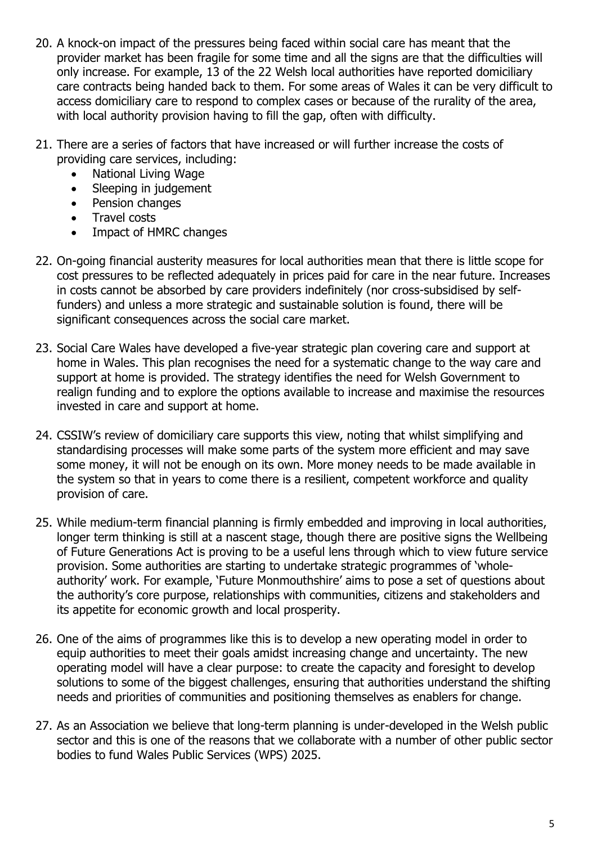- 20. A knock-on impact of the pressures being faced within social care has meant that the provider market has been fragile for some time and all the signs are that the difficulties will only increase. For example, 13 of the 22 Welsh local authorities have reported domiciliary care contracts being handed back to them. For some areas of Wales it can be very difficult to access domiciliary care to respond to complex cases or because of the rurality of the area, with local authority provision having to fill the gap, often with difficulty.
- 21. There are a series of factors that have increased or will further increase the costs of providing care services, including:
	- National Living Wage
	- Sleeping in judgement
	- Pension changes
	- Travel costs
	- Impact of HMRC changes
- 22. On-going financial austerity measures for local authorities mean that there is little scope for cost pressures to be reflected adequately in prices paid for care in the near future. Increases in costs cannot be absorbed by care providers indefinitely (nor cross-subsidised by selffunders) and unless a more strategic and sustainable solution is found, there will be significant consequences across the social care market.
- 23. Social Care Wales have developed a five-year strategic plan covering care and support at home in Wales. This plan recognises the need for a systematic change to the way care and support at home is provided. The strategy identifies the need for Welsh Government to realign funding and to explore the options available to increase and maximise the resources invested in care and support at home.
- 24. CSSIW's review of domiciliary care supports this view, noting that whilst simplifying and standardising processes will make some parts of the system more efficient and may save some money, it will not be enough on its own. More money needs to be made available in the system so that in years to come there is a resilient, competent workforce and quality provision of care.
- 25. While medium-term financial planning is firmly embedded and improving in local authorities, longer term thinking is still at a nascent stage, though there are positive signs the Wellbeing of Future Generations Act is proving to be a useful lens through which to view future service provision. Some authorities are starting to undertake strategic programmes of 'wholeauthority' work. For example, 'Future Monmouthshire' aims to pose a set of questions about the authority's core purpose, relationships with communities, citizens and stakeholders and its appetite for economic growth and local prosperity.
- 26. One of the aims of programmes like this is to develop a new operating model in order to equip authorities to meet their goals amidst increasing change and uncertainty. The new operating model will have a clear purpose: to create the capacity and foresight to develop solutions to some of the biggest challenges, ensuring that authorities understand the shifting needs and priorities of communities and positioning themselves as enablers for change.
- 27. As an Association we believe that long-term planning is under-developed in the Welsh public sector and this is one of the reasons that we collaborate with a number of other public sector bodies to fund Wales Public Services (WPS) 2025.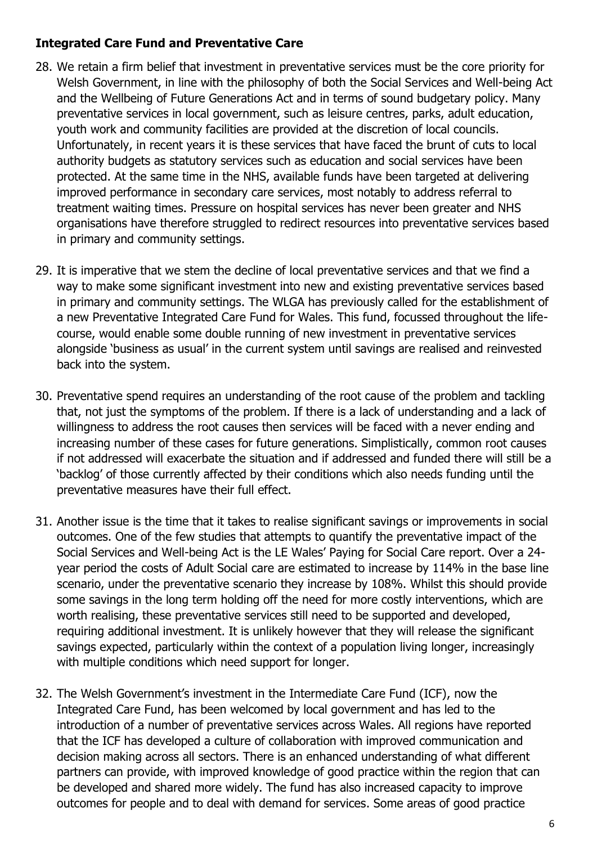### **Integrated Care Fund and Preventative Care**

- 28. We retain a firm belief that investment in preventative services must be the core priority for Welsh Government, in line with the philosophy of both the Social Services and Well-being Act and the Wellbeing of Future Generations Act and in terms of sound budgetary policy. Many preventative services in local government, such as leisure centres, parks, adult education, youth work and community facilities are provided at the discretion of local councils. Unfortunately, in recent years it is these services that have faced the brunt of cuts to local authority budgets as statutory services such as education and social services have been protected. At the same time in the NHS, available funds have been targeted at delivering improved performance in secondary care services, most notably to address referral to treatment waiting times. Pressure on hospital services has never been greater and NHS organisations have therefore struggled to redirect resources into preventative services based in primary and community settings.
- 29. It is imperative that we stem the decline of local preventative services and that we find a way to make some significant investment into new and existing preventative services based in primary and community settings. The WLGA has previously called for the establishment of a new Preventative Integrated Care Fund for Wales. This fund, focussed throughout the lifecourse, would enable some double running of new investment in preventative services alongside 'business as usual' in the current system until savings are realised and reinvested back into the system.
- 30. Preventative spend requires an understanding of the root cause of the problem and tackling that, not just the symptoms of the problem. If there is a lack of understanding and a lack of willingness to address the root causes then services will be faced with a never ending and increasing number of these cases for future generations. Simplistically, common root causes if not addressed will exacerbate the situation and if addressed and funded there will still be a 'backlog' of those currently affected by their conditions which also needs funding until the preventative measures have their full effect.
- 31. Another issue is the time that it takes to realise significant savings or improvements in social outcomes. One of the few studies that attempts to quantify the preventative impact of the Social Services and Well-being Act is the LE Wales' Paying for Social Care report. Over a 24 year period the costs of Adult Social care are estimated to increase by 114% in the base line scenario, under the preventative scenario they increase by 108%. Whilst this should provide some savings in the long term holding off the need for more costly interventions, which are worth realising, these preventative services still need to be supported and developed, requiring additional investment. It is unlikely however that they will release the significant savings expected, particularly within the context of a population living longer, increasingly with multiple conditions which need support for longer.
- 32. The Welsh Government's investment in the Intermediate Care Fund (ICF), now the Integrated Care Fund, has been welcomed by local government and has led to the introduction of a number of preventative services across Wales. All regions have reported that the ICF has developed a culture of collaboration with improved communication and decision making across all sectors. There is an enhanced understanding of what different partners can provide, with improved knowledge of good practice within the region that can be developed and shared more widely. The fund has also increased capacity to improve outcomes for people and to deal with demand for services. Some areas of good practice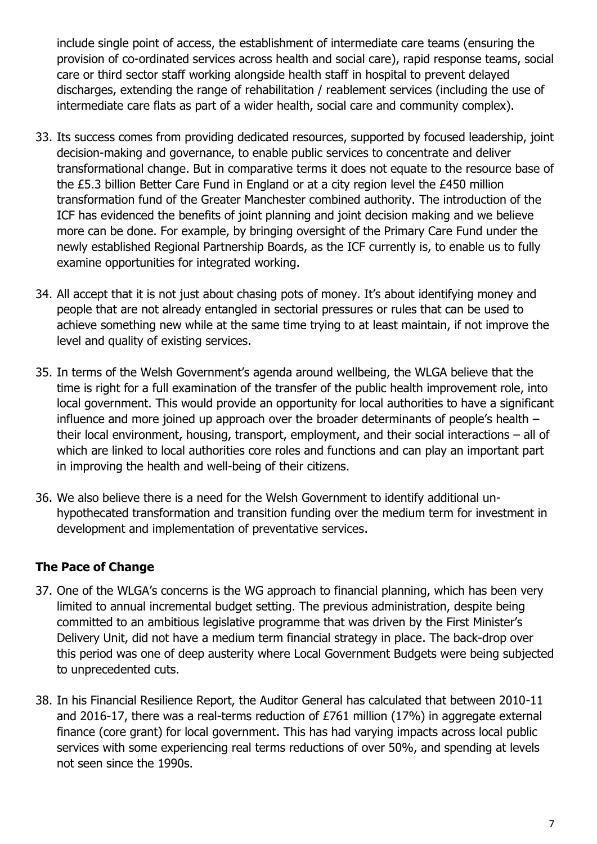include single point of access, the establishment of intermediate care teams (ensuring the provision of co-ordinated services across health and social care), rapid response teams, social care or third sector staff working alongside health staff in hospital to prevent delayed discharges, extending the range of rehabilitation / reablement services (including the use of intermediate care flats as part of a wider health, social care and community complex).

- 33. Its success comes from providing dedicated resources, supported by focused leadership, joint decision-making and governance, to enable public services to concentrate and deliver transformational change. But in comparative terms it does not equate to the resource base of the £5.3 billion Better Care Fund in England or at a city region level the £450 million transformation fund of the Greater Manchester combined authority. The introduction of the ICF has evidenced the benefits of joint planning and joint decision making and we believe more can be done. For example, by bringing oversight of the Primary Care Fund under the newly established Regional Partnership Boards, as the ICF currently is, to enable us to fully examine opportunities for integrated working.
- 34. All accept that it is not just about chasing pots of money. It's about identifying money and people that are not already entangled in sectorial pressures or rules that can be used to achieve something new while at the same time trying to at least maintain, if not improve the level and quality of existing services.
- 35. In terms of the Welsh Government's agenda around wellbeing, the WLGA believe that the time is right for a full examination of the transfer of the public health improvement role, into local government. This would provide an opportunity for local authorities to have a significant influence and more joined up approach over the broader determinants of people's health – their local environment, housing, transport, employment, and their social interactions – all of which are linked to local authorities core roles and functions and can play an important part in improving the health and well-being of their citizens.
- 36. We also believe there is a need for the Welsh Government to identify additional unhypothecated transformation and transition funding over the medium term for investment in development and implementation of preventative services.

## **The Pace of Change**

- 37. One of the WLGA's concerns is the WG approach to financial planning, which has been very limited to annual incremental budget setting. The previous administration, despite being committed to an ambitious legislative programme that was driven by the First Minister's Delivery Unit, did not have a medium term financial strategy in place. The back-drop over this period was one of deep austerity where Local Government Budgets were being subjected to unprecedented cuts.
- 38. In his Financial Resilience Report, the Auditor General has calculated that between 2010-11 and 2016-17, there was a real-terms reduction of £761 million (17%) in aggregate external finance (core grant) for local government. This has had varying impacts across local public services with some experiencing real terms reductions of over 50%, and spending at levels not seen since the 1990s.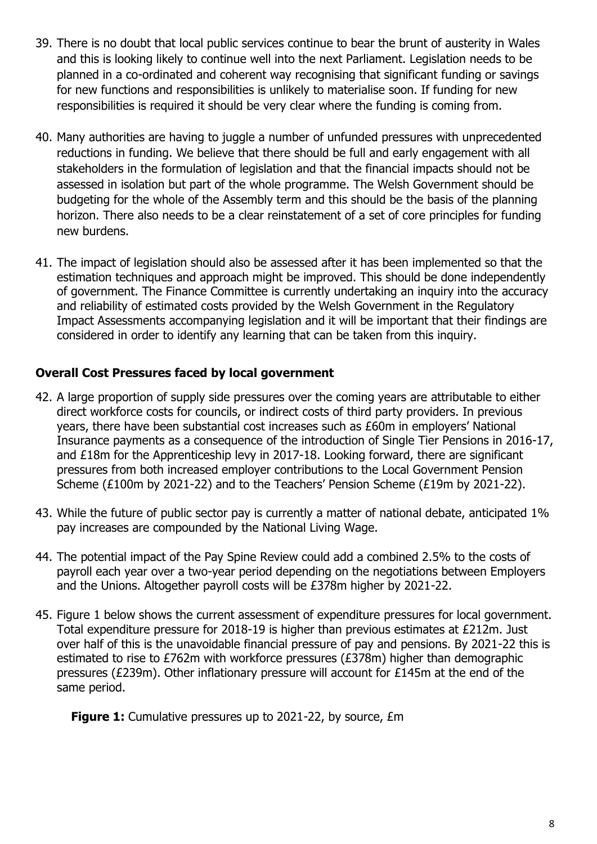- 39. There is no doubt that local public services continue to bear the brunt of austerity in Wales and this is looking likely to continue well into the next Parliament. Legislation needs to be planned in a co-ordinated and coherent way recognising that significant funding or savings for new functions and responsibilities is unlikely to materialise soon. If funding for new responsibilities is required it should be very clear where the funding is coming from.
- 40. Many authorities are having to juggle a number of unfunded pressures with unprecedented reductions in funding. We believe that there should be full and early engagement with all stakeholders in the formulation of legislation and that the financial impacts should not be assessed in isolation but part of the whole programme. The Welsh Government should be budgeting for the whole of the Assembly term and this should be the basis of the planning horizon. There also needs to be a clear reinstatement of a set of core principles for funding new burdens.
- 41. The impact of legislation should also be assessed after it has been implemented so that the estimation techniques and approach might be improved. This should be done independently of government. The Finance Committee is currently undertaking an inquiry into the accuracy and reliability of estimated costs provided by the Welsh Government in the Regulatory Impact Assessments accompanying legislation and it will be important that their findings are considered in order to identify any learning that can be taken from this inquiry.

## **Overall Cost Pressures faced by local government**

- 42. A large proportion of supply side pressures over the coming years are attributable to either direct workforce costs for councils, or indirect costs of third party providers. In previous years, there have been substantial cost increases such as £60m in employers' National Insurance payments as a consequence of the introduction of Single Tier Pensions in 2016-17, and £18m for the Apprenticeship levy in 2017-18. Looking forward, there are significant pressures from both increased employer contributions to the Local Government Pension Scheme (£100m by 2021-22) and to the Teachers' Pension Scheme (£19m by 2021-22).
- 43. While the future of public sector pay is currently a matter of national debate, anticipated 1% pay increases are compounded by the National Living Wage.
- 44. The potential impact of the Pay Spine Review could add a combined 2.5% to the costs of payroll each year over a two-year period depending on the negotiations between Employers and the Unions. Altogether payroll costs will be £378m higher by 2021-22.
- 45. Figure 1 below shows the current assessment of expenditure pressures for local government. Total expenditure pressure for 2018-19 is higher than previous estimates at £212m. Just over half of this is the unavoidable financial pressure of pay and pensions. By 2021-22 this is estimated to rise to £762m with workforce pressures (£378m) higher than demographic pressures (£239m). Other inflationary pressure will account for £145m at the end of the same period.

**Figure 1:** Cumulative pressures up to 2021-22, by source, *£m*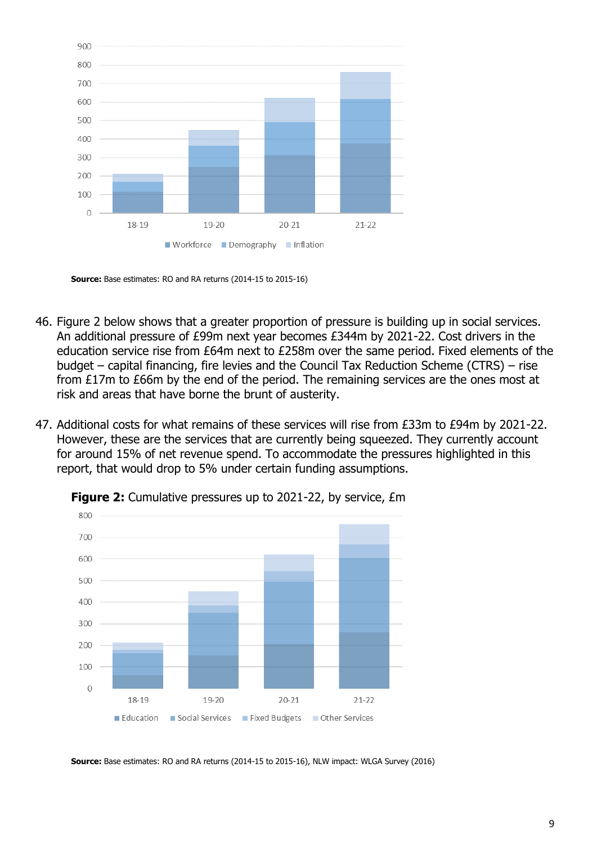

**Source:** Base estimates: RO and RA returns (2014-15 to 2015-16)

- 46. Figure 2 below shows that a greater proportion of pressure is building up in social services. An additional pressure of £99m next year becomes £344m by 2021-22. Cost drivers in the education service rise from £64m next to £258m over the same period. Fixed elements of the budget – capital financing, fire levies and the Council Tax Reduction Scheme (CTRS) – rise from £17m to £66m by the end of the period. The remaining services are the ones most at risk and areas that have borne the brunt of austerity.
- 47. Additional costs for what remains of these services will rise from £33m to £94m by 2021-22. However, these are the services that are currently being squeezed. They currently account for around 15% of net revenue spend. To accommodate the pressures highlighted in this report, that would drop to 5% under certain funding assumptions.



**Figure 2:** Cumulative pressures up to 2021-22, by service, £m

**Source:** Base estimates: RO and RA returns (2014-15 to 2015-16), NLW impact: WLGA Survey (2016)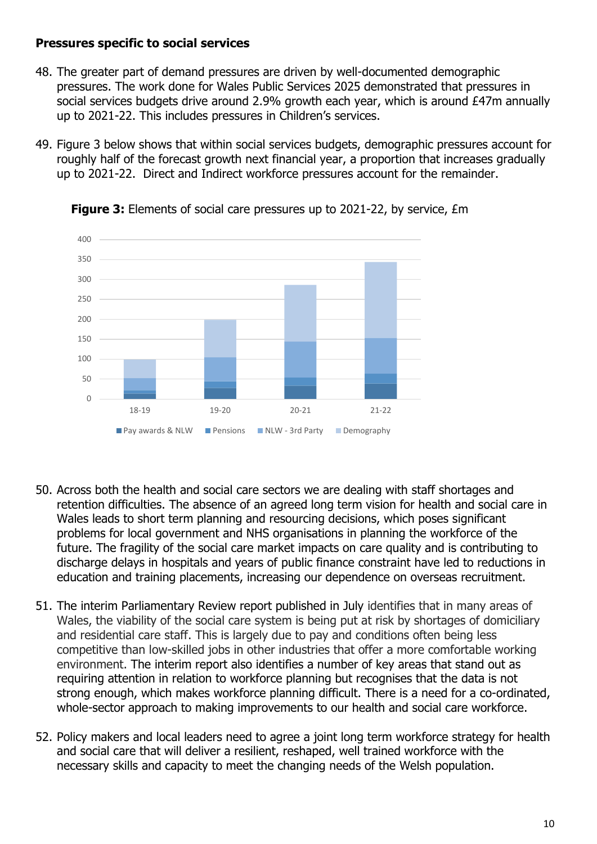## **Pressures specific to social services**

- 48. The greater part of demand pressures are driven by well-documented demographic pressures. The work done for Wales Public Services 2025 demonstrated that pressures in social services budgets drive around 2.9% growth each year, which is around £47m annually up to 2021-22. This includes pressures in Children's services.
- 49. Figure 3 below shows that within social services budgets, demographic pressures account for roughly half of the forecast growth next financial year, a proportion that increases gradually up to 2021-22. Direct and Indirect workforce pressures account for the remainder.





- 50. Across both the health and social care sectors we are dealing with staff shortages and retention difficulties. The absence of an agreed long term vision for health and social care in Wales leads to short term planning and resourcing decisions, which poses significant problems for local government and NHS organisations in planning the workforce of the future. The fragility of the social care market impacts on care quality and is contributing to discharge delays in hospitals and years of public finance constraint have led to reductions in education and training placements, increasing our dependence on overseas recruitment.
- 51. The interim Parliamentary Review report published in July identifies that in many areas of Wales, the viability of the social care system is being put at risk by shortages of domiciliary and residential care staff. This is largely due to pay and conditions often being less competitive than low-skilled jobs in other industries that offer a more comfortable working environment. The interim report also identifies a number of key areas that stand out as requiring attention in relation to workforce planning but recognises that the data is not strong enough, which makes workforce planning difficult. There is a need for a co-ordinated, whole-sector approach to making improvements to our health and social care workforce.
- 52. Policy makers and local leaders need to agree a joint long term workforce strategy for health and social care that will deliver a resilient, reshaped, well trained workforce with the necessary skills and capacity to meet the changing needs of the Welsh population.